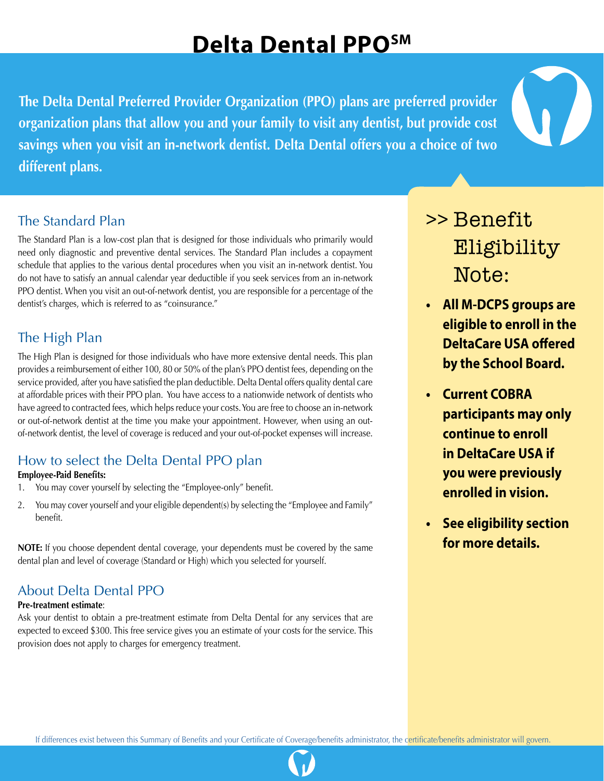# **Delta Dental PPOSM**

**The Delta Dental Preferred Provider Organization (PPO) plans are preferred provider organization plans that allow you and your family to visit any dentist, but provide cost savings when you visit an in-network dentist. Delta Dental offers you a choice of two different plans.**

### The Standard Plan

The Standard Plan is a low-cost plan that is designed for those individuals who primarily would need only diagnostic and preventive dental services. The Standard Plan includes a copayment schedule that applies to the various dental procedures when you visit an in-network dentist. You do not have to satisfy an annual calendar year deductible if you seek services from an in-network PPO dentist. When you visit an out-of-network dentist, you are responsible for a percentage of the dentist's charges, which is referred to as "coinsurance."

## The High Plan

The High Plan is designed for those individuals who have more extensive dental needs. This plan provides a reimbursement of either 100, 80 or 50% of the plan's PPO dentist fees, depending on the service provided, after you have satisfied the plan deductible. Delta Dental offers quality dental care at affordable prices with their PPO plan. You have access to a nationwide network of dentists who have agreed to contracted fees, which helps reduce your costs. You are free to choose an in-network or out-of-network dentist at the time you make your appointment. However, when using an outof-network dentist, the level of coverage is reduced and your out-of-pocket expenses will increase.

# How to select the Delta Dental PPO plan

#### **Employee-Paid Benefits:**

- 1. You may cover yourself by selecting the "Employee-only" benefit.
- 2. You may cover yourself and your eligible dependent(s) by selecting the "Employee and Family" benefit.

**NOTE:** If you choose dependent dental coverage, your dependents must be covered by the same dental plan and level of coverage (Standard or High) which you selected for yourself.

# About Delta Dental PPO

#### **Pre-treatment estimate**:

Ask your dentist to obtain a pre-treatment estimate from Delta Dental for any services that are expected to exceed \$300. This free service gives you an estimate of your costs for the service. This provision does not apply to charges for emergency treatment.

# >> Benefit Eligibility Note:

- **• All M-DCPS groups are eligible to enroll in the DeltaCare USA offered by the School Board.**
- **• Current COBRA participants may only continue to enroll in DeltaCare USA if you were previously enrolled in vision.**
- **• See eligibility section for more details.**